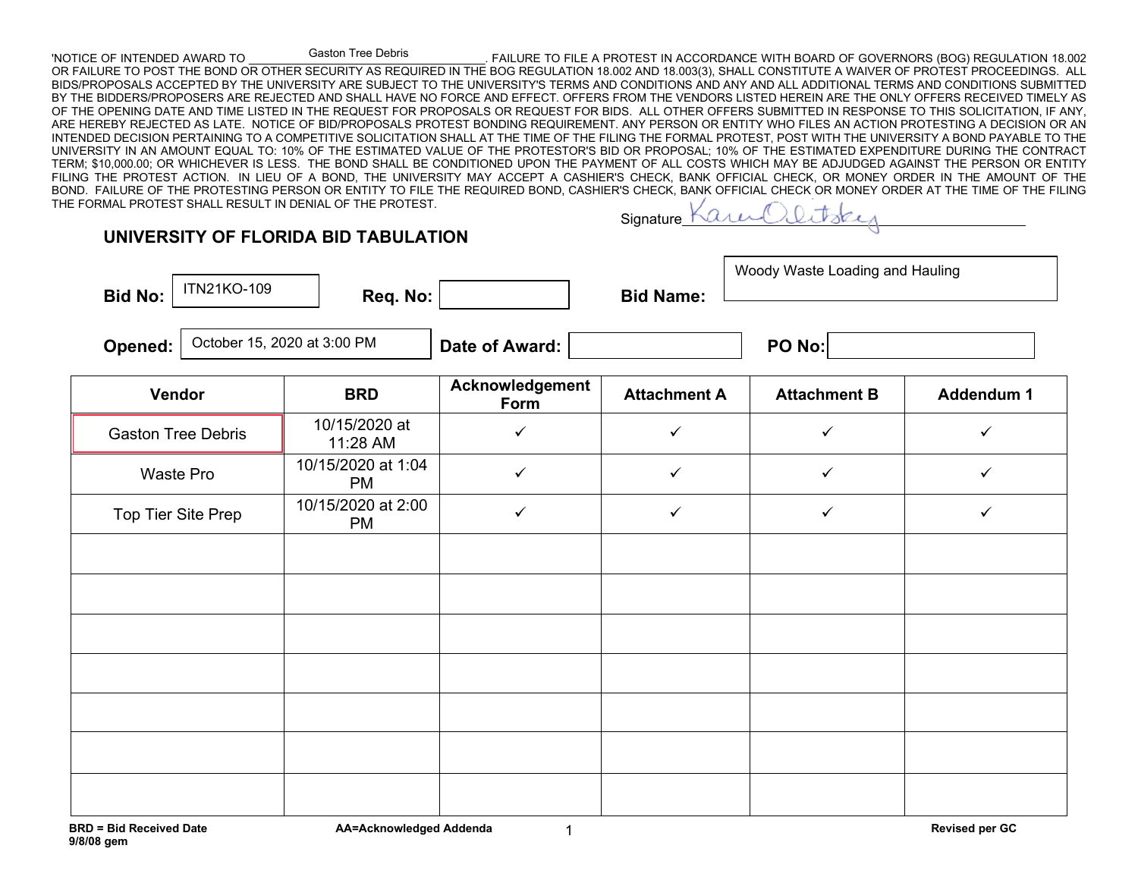## Gaston Tree Debris

**UNIVERSITY OF FLORIDA BID TABULATION**

'NOTICE OF INTENDED AWARD TO THE SUBSIGN THE LIFE OF SUPPOSE TO FILE A PROTEST IN ACCORDANCE WITH BOARD OF GOVERNORS (BOG) REGULATION 18.002 OR FAILURE TO POST THE BOND OR OTHER SECURITY AS REQUIRED IN THE BOG REGULATION 18.002 AND 18.003(3), SHALL CONSTITUTE A WAIVER OF PROTEST PROCEEDINGS. ALL BIDS/PROPOSALS ACCEPTED BY THE UNIVERSITY ARE SUBJECT TO THE UNIVERSITY'S TERMS AND CONDITIONS AND ANY AND ALL ADDITIONAL TERMS AND CONDITIONS SUBMITTED BY THE BIDDERS/PROPOSERS ARE REJECTED AND SHALL HAVE NO FORCE AND EFFECT. OFFERS FROM THE VENDORS LISTED HEREIN ARE THE ONLY OFFERS RECEIVED TIMELY AS OF THE OPENING DATE AND TIME LISTED IN THE REQUEST FOR PROPOSALS OR REQUEST FOR BIDS. ALL OTHER OFFERS SUBMITTED IN RESPONSE TO THIS SOLICITATION. IF ANY, ARE HEREBY REJECTED AS LATE. NOTICE OF BID/PROPOSALS PROTEST BONDING REQUIREMENT. ANY PERSON OR ENTITY WHO FILES AN ACTION PROTESTING A DECISION OR AN INTENDED DECISION PERTAINING TO A COMPETITIVE SOLICITATION SHALL AT THE TIME OF THE FILING THE FORMAL PROTEST, POST WITH THE UNIVERSITY A BOND PAYABLE TO THE UNIVERSITY IN AN AMOUNT EQUAL TO: 10% OF THE ESTIMATED VALUE OF THE PROTESTOR'S BID OR PROPOSAL; 10% OF THE ESTIMATED EXPENDITURE DURING THE CONTRACT TERM; \$10,000.00; OR WHICHEVER IS LESS. THE BOND SHALL BE CONDITIONED UPON THE PAYMENT OF ALL COSTS WHICH MAY BE ADJUDGED AGAINST THE PERSON OR ENTITY FILING THE PROTEST ACTION. IN LIEU OF A BOND, THE UNIVERSITY MAY ACCEPT A CASHIER'S CHECK, BANK OFFICIAL CHECK, OR MONEY ORDER IN THE AMOUNT OF THE BOND. FAILURE OF THE PROTESTING PERSON OR ENTITY TO FILE THE REQUIRED BOND, CASHIER'S CHECK, BANK OFFICIAL CHECK OR MONEY ORDER AT THE TIME OF THE FILING THE FORMAL PROTEST SHALL RESULT IN DENIAL OF THE PROTEST.

**Signature** 

| <b>Bid No:</b>            | ITN21KO-109                 | Req. No:                        |                         | <b>Bid Name:</b>    | Woody Waste Loading and Hauling |                   |
|---------------------------|-----------------------------|---------------------------------|-------------------------|---------------------|---------------------------------|-------------------|
| Opened:                   | October 15, 2020 at 3:00 PM |                                 | Date of Award:          |                     | PO No:                          |                   |
| Vendor                    |                             | <b>BRD</b>                      | Acknowledgement<br>Form | <b>Attachment A</b> | <b>Attachment B</b>             | <b>Addendum 1</b> |
| <b>Gaston Tree Debris</b> |                             | 10/15/2020 at<br>11:28 AM       | $\checkmark$            | ✓                   | $\checkmark$                    | ✓                 |
| Waste Pro                 |                             | 10/15/2020 at 1:04<br><b>PM</b> | $\checkmark$            | $\checkmark$        | $\checkmark$                    | $\checkmark$      |
| Top Tier Site Prep        |                             | 10/15/2020 at 2:00<br><b>PM</b> | $\checkmark$            | $\checkmark$        | $\checkmark$                    | $\checkmark$      |
|                           |                             |                                 |                         |                     |                                 |                   |
|                           |                             |                                 |                         |                     |                                 |                   |
|                           |                             |                                 |                         |                     |                                 |                   |
|                           |                             |                                 |                         |                     |                                 |                   |
|                           |                             |                                 |                         |                     |                                 |                   |
|                           |                             |                                 |                         |                     |                                 |                   |
|                           |                             |                                 |                         |                     |                                 |                   |

1